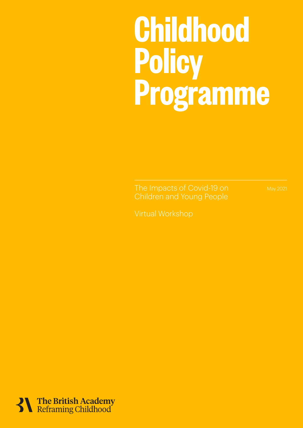# The Impacts of Covid-19 on Children and Young People 1 **Childhood Policy Programme**

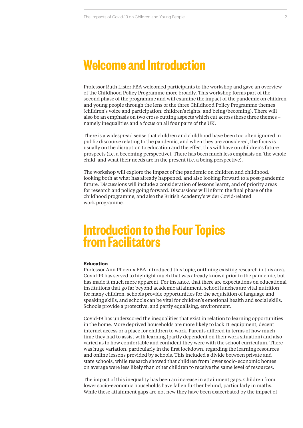### **Welcome and Introduction**

Professor Ruth Lister FBA welcomed participants to the workshop and gave an overview of the Childhood Policy Programme more broadly. This workshop forms part of the second phase of the programme and will examine the impact of the pandemic on children and young people through the lens of the three Childhood Policy Programme themes (children's voice and participation; children's rights; and being/becoming). There will also be an emphasis on two cross-cutting aspects which cut across these three themes – namely inequalities and a focus on all four parts of the UK.

There is a widespread sense that children and childhood have been too often ignored in public discourse relating to the pandemic, and when they are considered, the focus is usually on the disruption to education and the effect this will have on children's future prospects (i.e. a becoming perspective). There has been much less emphasis on 'the whole child' and what their needs are in the present (i.e. a being perspective).

The workshop will explore the impact of the pandemic on children and childhood, looking both at what has already happened, and also looking forward to a post-pandemic future. Discussions will include a consideration of lessons learnt, and of priority areas for research and policy going forward. Discussions will inform the final phase of the childhood programme, and also the British Academy's wider Covid-related work programme.

### **Introduction to the Four Topics from Facilitators**

### **Education**

Professor Ann Phoenix FBA introduced this topic, outlining existing research in this area. Covid-19 has served to highlight much that was already known prior to the pandemic, but has made it much more apparent. For instance, that there are expectations on educational institutions that go far beyond academic attainment, school lunches are vital nutrition for many children, schools provide opportunities for the acquisition of language and speaking skills, and schools can be vital for children's emotional health and social skills. Schools provide a protective, and partly equalising, environment.

Covid-19 has underscored the inequalities that exist in relation to learning opportunities in the home. More deprived households are more likely to lack IT equipment, decent internet access or a place for children to work. Parents differed in terms of how much time they had to assist with learning (partly dependent on their work situation) and also varied as to how comfortable and confident they were with the school curriculum. There was huge variation, particularly in the first lockdown, regarding the learning resources and online lessons provided by schools. This included a divide between private and state schools, while research showed that children from lower socio-economic homes on average were less likely than other children to receive the same level of resources.

The impact of this inequality has been an increase in attainment gaps. Children from lower socio-economic households have fallen further behind, particularly in maths. While these attainment gaps are not new they have been exacerbated by the impact of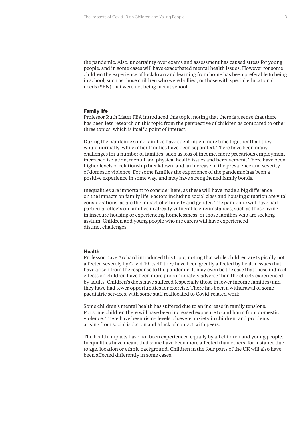the pandemic. Also, uncertainty over exams and assessment has caused stress for young people, and in some cases will have exacerbated mental health issues. However for some children the experience of lockdown and learning from home has been preferable to being in school, such as those children who were bullied, or those with special educational needs (SEN) that were not being met at school.

#### **Family life**

Professor Ruth Lister FBA introduced this topic, noting that there is a sense that there has been less research on this topic from the perspective of children as compared to other three topics, which is itself a point of interest.

During the pandemic some families have spent much more time together than they would normally, while other families have been separated. There have been many challenges for a number of families, such as loss of income, more precarious employment, increased isolation, mental and physical health issues and bereavement. There have been higher levels of relationship breakdown, and an increase in the prevalence and severity of domestic violence. For some families the experience of the pandemic has been a positive experience in some way, and may have strengthened family bonds.

Inequalities are important to consider here, as these will have made a big difference on the impacts on family life. Factors including social class and housing situation are vital considerations, as are the impact of ethnicity and gender. The pandemic will have had particular effects on families in already vulnerable circumstances, such as those living in insecure housing or experiencing homelessness, or those families who are seeking asylum. Children and young people who are carers will have experienced distinct challenges.

#### **Health**

Professor Dave Archard introduced this topic, noting that while children are typically not affected severely by Covid-19 itself, they have been greatly affected by health issues that have arisen from the response to the pandemic. It may even be the case that these indirect effects on children have been more proportionately adverse than the effects experienced by adults. Children's diets have suffered (especially those in lower income families) and they have had fewer opportunities for exercise. There has been a withdrawal of some paediatric services, with some staff reallocated to Covid-related work.

Some children's mental health has suffered due to an increase in family tensions. For some children there will have been increased exposure to and harm from domestic violence. There have been rising levels of severe anxiety in children, and problems arising from social isolation and a lack of contact with peers.

The health impacts have not been experienced equally by all children and young people. Inequalities have meant that some have been more affected than others, for instance due to age, location or ethnic background. Children in the four parts of the UK will also have been affected differently in some cases.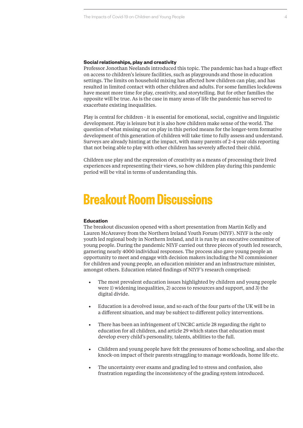#### **Social relationships, play and creativity**

Professor Jonothan Neelands introduced this topic. The pandemic has had a huge effect on access to children's leisure facilities, such as playgrounds and those in education settings. The limits on household mixing has affected how children can play, and has resulted in limited contact with other children and adults. For some families lockdowns have meant more time for play, creativity, and storytelling. But for other families the opposite will be true. As is the case in many areas of life the pandemic has served to exacerbate existing inequalities.

Play is central for children - it is essential for emotional, social, cognitive and linguistic development. Play is leisure but it is also how children make sense of the world. The question of what missing out on play in this period means for the longer-term formative development of this generation of children will take time to fully assess and understand. Surveys are already hinting at the impact, with many parents of 2-4 year olds reporting that not being able to play with other children has severely affected their child.

Children use play and the expression of creativity as a means of processing their lived experiences and representing their views, so how children play during this pandemic period will be vital in terms of understanding this.

### **Breakout Room Discussions**

### **Education**

The breakout discussion opened with a short presentation from Martin Kelly and Lauren McAreavey from the Northern Ireland Youth Forum (NIYF). NIYF is the only youth led regional body in Northern Ireland, and it is run by an executive committee of young people. During the pandemic NIYF carried out three pieces of youth led research, garnering nearly 4000 individual responses. The process also gave young people an opportunity to meet and engage with decision makers including the NI commissioner for children and young people, an education minister and an infrastructure minister, amongst others. Education related findings of NIYF's research comprised:

- **•** The most prevalent education issues highlighted by children and young people were 1) widening inequalities, 2) access to resources and support, and 3) the digital divide.
- **•** Education is a devolved issue, and so each of the four parts of the UK will be in a different situation, and may be subject to different policy interventions.
- **•** There has been an infringement of UNCRC article 28 regarding the right to education for all children, and article 29 which states that education must develop every child's personality, talents, abilities to the full.
- **•** Children and young people have felt the pressures of home schooling, and also the knock-on impact of their parents struggling to manage workloads, home life etc.
- **•** The uncertainty over exams and grading led to stress and confusion, also frustration regarding the inconsistency of the grading system introduced.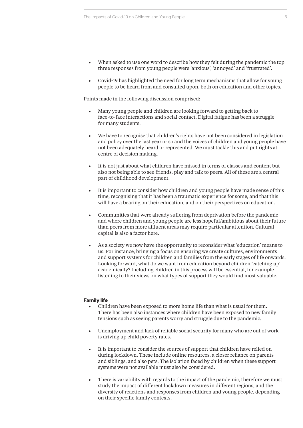- **•** When asked to use one word to describe how they felt during the pandemic the top three responses from young people were 'anxious', 'annoyed' and 'frustrated'.
- **•** Covid-19 has highlighted the need for long term mechanisms that allow for young people to be heard from and consulted upon, both on education and other topics.

Points made in the following discussion comprised:

- **•** Many young people and children are looking forward to getting back to face-to-face interactions and social contact. Digital fatigue has been a struggle for many students.
- **•** We have to recognise that children's rights have not been considered in legislation and policy over the last year or so and the voices of children and young people have not been adequately heard or represented. We must tackle this and put rights at centre of decision making.
- **•** It is not just about what children have missed in terms of classes and content but also not being able to see friends, play and talk to peers. All of these are a central part of childhood development.
- **•** It is important to consider how children and young people have made sense of this time, recognising that it has been a traumatic experience for some, and that this will have a bearing on their education, and on their perspectives on education.
- **•** Communities that were already suffering from deprivation before the pandemic and where children and young people are less hopeful/ambitious about their future than peers from more affluent areas may require particular attention. Cultural capital is also a factor here.
- **•** As a society we now have the opportunity to reconsider what 'education' means to us. For instance, bringing a focus on ensuring we create cultures, environments and support systems for children and families from the early stages of life onwards. Looking forward, what do we want from education beyond children 'catching up' academically? Including children in this process will be essential, for example listening to their views on what types of support they would find most valuable.

### **Family life**

- **•** Children have been exposed to more home life than what is usual for them. There has been also instances where children have been exposed to new family tensions such as seeing parents worry and struggle due to the pandemic.
- **•** Unemployment and lack of reliable social security for many who are out of work is driving up child poverty rates.
- **•** It is important to consider the sources of support that children have relied on during lockdown. These include online resources, a closer reliance on parents and siblings, and also pets. The isolation faced by children when these support systems were not available must also be considered.
- **•** There is variability with regards to the impact of the pandemic, therefore we must study the impact of different lockdown measures in different regions, and the diversity of reactions and responses from children and young people, depending on their specific family contexts.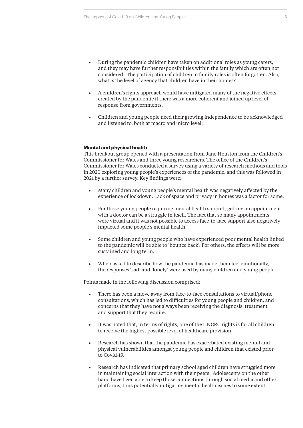- **•** During the pandemic children have taken on additional roles as young carers, and they may have further responsibilities within the family which are often not considered. The participation of children in family roles is often forgotten. Also, what is the level of agency that children have in their homes?
- **•** A children's rights approach would have mitigated many of the negative effects created by the pandemic if there was a more coherent and joined up level of response from governments.
- **•** Children and young people need their growing independence to be acknowledged and listened to, both at macro and micro level.

### **Mental and physical health**

This breakout group opened with a presentation from Jane Houston from the Children's Commissioner for Wales and three young researchers. The office of the Children's Commissioner for Wales conducted a survey using a variety of research methods and tools in 2020 exploring young people's experiences of the pandemic, and this was followed in 2021 by a further survey. Key findings were:

- **•** Many children and young people's mental health was negatively affected by the experience of lockdown. Lack of space and privacy in homes was a factor for some.
- **•** For those young people requiring mental health support, getting an appointment with a doctor can be a struggle in itself. The fact that so many appointments were virtual and it was not possible to access face-to-face support also negatively impacted some people's mental health.
- **•** Some children and young people who have experienced poor mental health linked to the pandemic will be able to 'bounce back'. For others, the effects will be more sustained and long term.
- **•** When asked to describe how the pandemic has made them feel emotionally, the responses 'sad' and 'lonely' were used by many children and young people.

Points made in the following discussion comprised:

- **•** There has been a move away from face-to-face consultations to virtual/phone consultations, which has led to difficulties for young people and children, and concerns that they have not always been receiving the diagnosis, treatment and support that they require.
- **•** It was noted that, in terms of rights, one of the UNCRC rights is for all children to receive the highest possible level of healthcare provision.
- **•** Research has shown that the pandemic has exacerbated existing mental and physical vulnerabilities amongst young people and children that existed prior to Covid-19.
- **•** Research has indicated that primary school aged children have struggled more in maintaining social interaction with their peers. Adolescents on the other hand have been able to keep those connections through social media and other platforms, thus potentially mitigating mental health issues to some extent.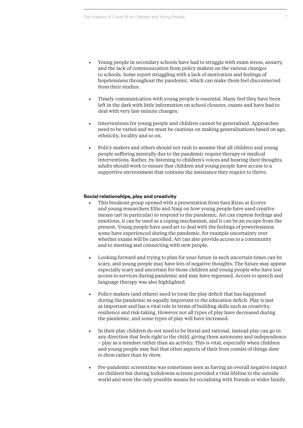- **•** Young people in secondary schools have had to struggle with exam stress, anxiety, and the lack of communication from policy makers on the various changes to schools. Some report struggling with a lack of motivation and feelings of hopelessness throughout the pandemic, which can make them feel disconnected from their studies.
- **•** Timely communication with young people is essential. Many feel they have been left in the dark with little information on school closures, exams and have had to deal with very last-minute changes.
- **•** Interventions for young people and children cannot be generalised. Approaches need to be varied and we must be cautious on making generalisations based on age, ethnicity, locality and so on.
- **•** Policy makers and others should not rush to assume that all children and young people suffering mentally due to the pandemic require therapy or medical interventions. Rather, by listening to children's voices and hearing their thoughts, adults should work to ensure that children and young people have access to a supportive environment that contains the assistance they require to thrive.

### **Social relationships, play and creativity**

- **•** This breakout group opened with a presentation from Sara Rizzo at Ecorys and young researchers Ellie and Naqi on how young people have used creative means (art in particular) to respond to the pandemic. Art can express feelings and emotions, it can be used as a coping mechanism, and it can be an escape from the present. Young people have used art to deal with the feelings of powerlessness some have experienced during the pandemic, for example uncertainty over whether exams will be cancelled. Art can also provide access to a community and to meeting and connecting with new people.
- **•** Looking forward and trying to plan for your future in such uncertain times can be scary, and young people may have lots of negative thoughts. The future may appear especially scary and uncertain for those children and young people who have lost access to services during pandemic and may have regressed. Access to speech and language therapy was also highlighted.
- **•** Policy makers (and others) need to treat the play deficit that has happened during the pandemic as equally important to the education deficit. Play is just as important and has a vital role in terms of building skills such as creativity, resilience and risk-taking. However not all types of play have decreased during the pandemic, and some types of play will have increased.
- **•** In their play children do not need to be literal and rational, instead play can go in any direction that feels right to the child, giving them autonomy and independence – play as a mindset rather than an activity. This is vital, especially when children and young people may feel that other aspects of their lives consist of things *done to them* rather than *by them*.
- **•** Pre-pandemic screentime was sometimes seen as having an overall negative impact on children but during lockdowns screens provided a vital lifeline to the outside world and were the only possible means for socialising with friends or wider family.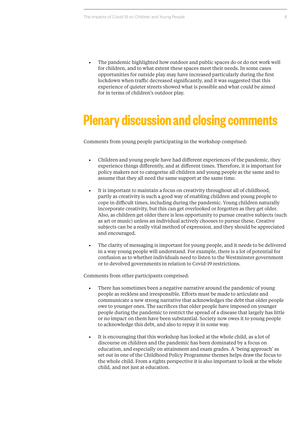**•** The pandemic highlighted how outdoor and public spaces do or do not work well for children, and to what extent these spaces meet their needs. In some cases opportunities for outside play may have increased particularly during the first lockdown when traffic decreased significantly, and it was suggested that this experience of quieter streets showed what is possible and what could be aimed for in terms of children's outdoor play.

### **Plenary discussion and closing comments**

Comments from young people participating in the workshop comprised:

- **•** Children and young people have had different experiences of the pandemic, they experience things differently, and at different times. Therefore, it is important for policy makers not to categorise all children and young people as the same and to assume that they all need the same support at the same time.
- **•** It is important to maintain a focus on creativity throughout all of childhood, partly as creativity is such a good way of enabling children and young people to cope in difficult times, including during the pandemic. Young children naturally incorporate creativity, but this can get overlooked or forgotten as they get older. Also, as children get older there is less opportunity to pursue creative subjects (such as art or music) unless an individual actively chooses to pursue these. Creative subjects can be a really vital method of expression, and they should be appreciated and encouraged.
- **•** The clarity of messaging is important for young people, and it needs to be delivered in a way young people will understand. For example, there is a lot of potential for confusion as to whether individuals need to listen to the Westminster government or to devolved governments in relation to Covid-19 restrictions.

Comments from other participants comprised:

- **•** There has sometimes been a negative narrative around the pandemic of young people as reckless and irresponsible. Efforts must be made to articulate and communicate a new strong narrative that acknowledges the debt that older people owe to younger ones. The sacrifices that older people have imposed on younger people during the pandemic to restrict the spread of a disease that largely has little or no impact on them have been substantial. Society now owes it to young people to acknowledge this debt, and also to repay it in some way.
- **•** It is encouraging that this workshop has looked at the whole child, as a lot of discourse on children and the pandemic has been dominated by a focus on education, and especially on attainment and exam grades. A 'being approach' as set out in one of the Childhood Policy Programme themes helps draw the focus to the whole child. From a rights perspective it is also important to look at the whole child, and not just at education.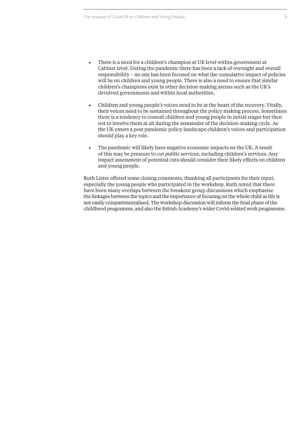- **•** There is a need for a children's champion at UK level within government at Cabinet level. During the pandemic there has been a lack of oversight and overall responsibility – no one has been focused on what the cumulative impact of policies will be on children and young people. There is also a need to ensure that similar children's champions exist in other decision-making arenas such as the UK's devolved governments and within local authorities.
- **•** Children and young people's voices need to be at the heart of the recovery. Vitally, their voices need to be sustained throughout the policy making process. Sometimes there is a tendency to consult children and young people in initial stages but then not to involve them at all during the remainder of the decision-making cycle. As the UK enters a post pandemic policy landscape children's voices and participation should play a key role.
- **•** The pandemic will likely have negative economic impacts on the UK. A result of this may be pressure to cut public services, including children's services. Any impact assessment of potential cuts should consider their likely effects on children and young people.

Ruth Lister offered some closing comments, thanking all participants for their input, especially the young people who participated in the workshop. Ruth noted that there have been many overlaps between the breakout group discussions which emphasise the linkages between the topics and the importance of focusing on the whole child as life is not easily compartmentalised. The workshop discussion will inform the final phase of the childhood programme, and also the British Academy's wider Covid-related work programme.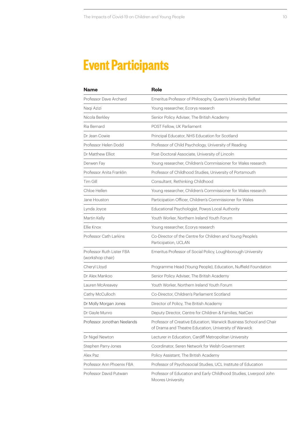## **Event Participants**

| <b>Name</b>                                   | <b>Role</b>                                                                                                                 |
|-----------------------------------------------|-----------------------------------------------------------------------------------------------------------------------------|
| Professor Dave Archard                        | Emeritus Professor of Philosophy, Queen's University Belfast                                                                |
| Naqi Azizi                                    | Young researcher, Ecorys research                                                                                           |
| Nicola Berkley                                | Senior Policy Adviser, The British Academy                                                                                  |
| Ria Bernard                                   | POST Fellow, UK Parliament                                                                                                  |
| Dr Jean Cowie                                 | Principal Educator, NHS Education for Scotland                                                                              |
| Professor Helen Dodd                          | Professor of Child Psychology, University of Reading                                                                        |
| Dr Matthew Elliot                             | Post-Doctoral Associate, University of Lincoln                                                                              |
| Derwen Fay                                    | Young researcher, Children's Commissioner for Wales research                                                                |
| Professor Anita Franklin                      | Professor of Childhood Studies, University of Portsmouth                                                                    |
| Tim Gill                                      | Consultant, Rethinking Childhood                                                                                            |
| Chloe Hellen                                  | Young researcher, Children's Commissioner for Wales research                                                                |
| Jane Houston                                  | Participation Officer, Children's Commissioner for Wales                                                                    |
| Lynda Joyce                                   | Educational Psychologist, Powys Local Authority                                                                             |
| Martin Kelly                                  | Youth Worker, Northern Ireland Youth Forum                                                                                  |
| Ellie Knox                                    | Young researcher, Ecorys research                                                                                           |
| Professor Cath Larkins                        | Co-Director of the Centre for Children and Young People's<br>Participation, UCLAN                                           |
| Professor Ruth Lister FBA<br>(workshop chair) | Emeritus Professor of Social Policy, Loughborough University                                                                |
| Cheryl Lloyd                                  | Programme Head (Young People), Education, Nuffield Foundation                                                               |
| Dr Alex Mankoo                                | Senior Policy Adviser, The British Academy                                                                                  |
| Lauren McAreavey                              | Youth Worker, Northern Ireland Youth Forum                                                                                  |
| Cathy McCulloch                               | Co-Director, Children's Parliament Scotland                                                                                 |
| Dr Molly Morgan Jones                         | Director of Policy, The British Academy                                                                                     |
| Dr Gayle Munro                                | Deputy Director, Centre for Children & Families, NatCen                                                                     |
| Professor Jonothan Neelands                   | Professor of Creative Education, Warwick Business School and Chair<br>of Drama and Theatre Education, University of Warwick |
| Dr Nigel Newton                               | Lecturer in Education, Cardiff Metropolitan University                                                                      |
| Stephen Parry-Jones                           | Coordinator, Seren Network for Welsh Government                                                                             |
| Alex Paz                                      | Policy Assistant, The British Academy                                                                                       |
| Professor Ann Phoenix FBA                     | Professor of Psychosocial Studies, UCL Institute of Education                                                               |
| Professor David Putwain                       | Professor of Education and Early Childhood Studies, Liverpool John<br><b>Moores University</b>                              |